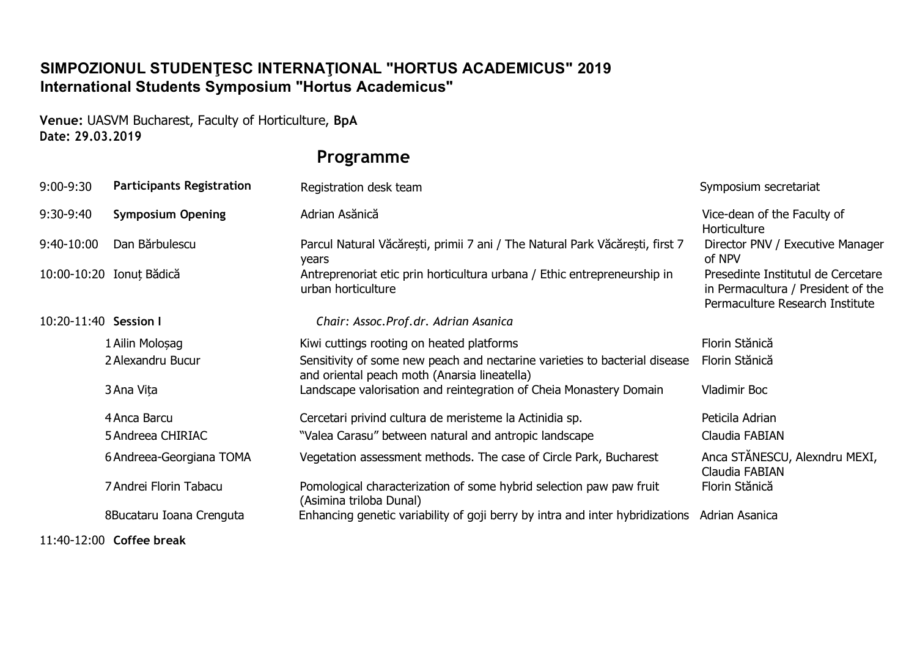## **SIMPOZIONUL STUDENŢESC INTERNAŢIONAL "HORTUS ACADEMICUS" 2019 International Students Symposium "Hortus Academicus"**

**Venue:** UASVM Bucharest, Faculty of Horticulture, **BpA Date: 29.03.2019**

## **Programme**

| 9:00-9:30             | <b>Participants Registration</b> | Registration desk team                                                                                                     | Symposium secretariat                                                                                       |
|-----------------------|----------------------------------|----------------------------------------------------------------------------------------------------------------------------|-------------------------------------------------------------------------------------------------------------|
| 9:30-9:40             | <b>Symposium Opening</b>         | Adrian Asănică                                                                                                             | Vice-dean of the Faculty of<br>Horticulture                                                                 |
| $9:40-10:00$          | Dan Bärbulescu                   | Parcul Natural Văcărești, primii 7 ani / The Natural Park Văcărești, first 7<br>years                                      | Director PNV / Executive Manager<br>of NPV                                                                  |
|                       | 10:00-10:20 Ionut Bădică         | Antreprenoriat etic prin horticultura urbana / Ethic entrepreneurship in<br>urban horticulture                             | Presedinte Institutul de Cercetare<br>in Permacultura / President of the<br>Permaculture Research Institute |
| 10:20-11:40 Session I |                                  | Chair: Assoc.Prof.dr. Adrian Asanica                                                                                       |                                                                                                             |
|                       | 1 Ailin Molosag                  | Kiwi cuttings rooting on heated platforms                                                                                  | Florin Stănică                                                                                              |
|                       | 2 Alexandru Bucur                | Sensitivity of some new peach and nectarine varieties to bacterial disease<br>and oriental peach moth (Anarsia lineatella) | Florin Stănică                                                                                              |
|                       | 3 Ana Vita                       | Landscape valorisation and reintegration of Cheia Monastery Domain                                                         | Vladimir Boc                                                                                                |
|                       | 4 Anca Barcu                     | Cercetari privind cultura de meristeme la Actinidia sp.                                                                    | Peticila Adrian                                                                                             |
|                       | 5 Andreea CHIRIAC                | "Valea Carasu" between natural and antropic landscape                                                                      | Claudia FABIAN                                                                                              |
|                       | 6 Andreea-Georgiana TOMA         | Vegetation assessment methods. The case of Circle Park, Bucharest                                                          | Anca STĂNESCU, Alexndru MEXI,<br>Claudia FABIAN                                                             |
|                       | 7 Andrei Florin Tabacu           | Pomological characterization of some hybrid selection paw paw fruit<br>(Asimina triloba Dunal)                             | Florin Stănică                                                                                              |
|                       | 8Bucataru Ioana Crenguta         | Enhancing genetic variability of goji berry by intra and inter hybridizations                                              | Adrian Asanica                                                                                              |

11:40-12:00 **Coffee break**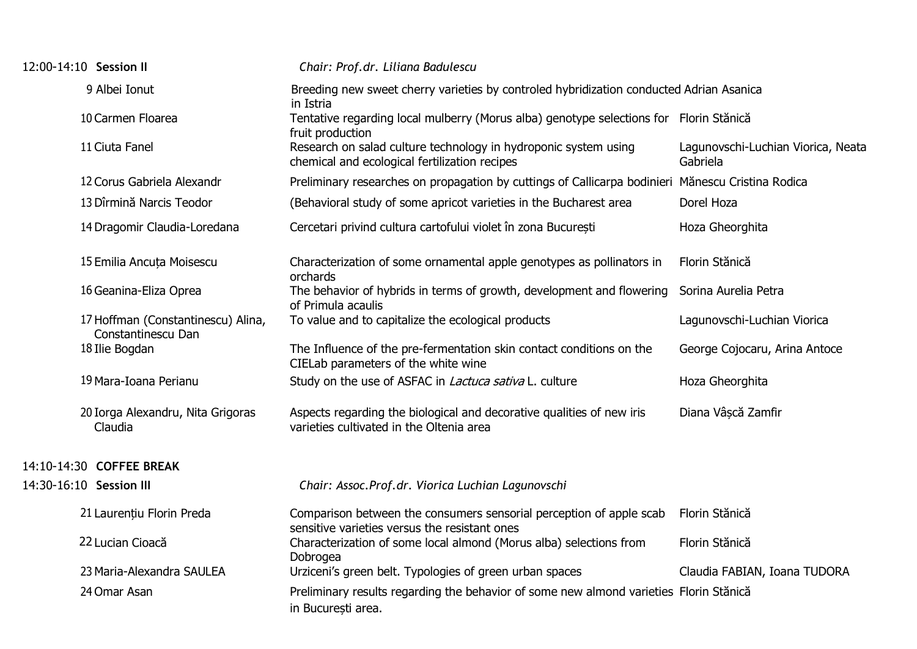| 12:00-14:10 Session II  |                                                          | Chair: Prof.dr. Liliana Badulescu                                                                                    |                                                |
|-------------------------|----------------------------------------------------------|----------------------------------------------------------------------------------------------------------------------|------------------------------------------------|
|                         | 9 Albei Ionut                                            | Breeding new sweet cherry varieties by controled hybridization conducted Adrian Asanica<br>in Istria                 |                                                |
|                         | 10 Carmen Floarea                                        | Tentative regarding local mulberry (Morus alba) genotype selections for Florin Stănică<br>fruit production           |                                                |
|                         | 11 Ciuta Fanel                                           | Research on salad culture technology in hydroponic system using<br>chemical and ecological fertilization recipes     | Lagunovschi-Luchian Viorica, Neata<br>Gabriela |
|                         | 12 Corus Gabriela Alexandr                               | Preliminary researches on propagation by cuttings of Callicarpa bodinieri Mănescu Cristina Rodica                    |                                                |
|                         | 13 Dîrmină Narcis Teodor                                 | (Behavioral study of some apricot varieties in the Bucharest area                                                    | Dorel Hoza                                     |
|                         | 14 Dragomir Claudia-Loredana                             | Cercetari privind cultura cartofului violet în zona București                                                        | Hoza Gheorghita                                |
|                         | 15 Emilia Ancuta Moisescu                                | Characterization of some ornamental apple genotypes as pollinators in<br>orchards                                    | Florin Stănică                                 |
|                         | 16 Geanina-Eliza Oprea                                   | The behavior of hybrids in terms of growth, development and flowering<br>of Primula acaulis                          | Sorina Aurelia Petra                           |
|                         | 17 Hoffman (Constantinescu) Alina,<br>Constantinescu Dan | To value and to capitalize the ecological products                                                                   | Lagunovschi-Luchian Viorica                    |
|                         | 18 Ilie Bogdan                                           | The Influence of the pre-fermentation skin contact conditions on the<br>CIELab parameters of the white wine          | George Cojocaru, Arina Antoce                  |
|                         | 19 Mara-Ioana Perianu                                    | Study on the use of ASFAC in <i>Lactuca sativa</i> L. culture                                                        | Hoza Gheorghita                                |
|                         | 20 Iorga Alexandru, Nita Grigoras<br>Claudia             | Aspects regarding the biological and decorative qualities of new iris<br>varieties cultivated in the Oltenia area    | Diana Vâscă Zamfir                             |
|                         | 14:10-14:30 COFFEE BREAK                                 |                                                                                                                      |                                                |
| 14:30-16:10 Session III |                                                          | Chair: Assoc.Prof.dr. Viorica Luchian Lagunovschi                                                                    |                                                |
|                         | 21 Laurențiu Florin Preda                                | Comparison between the consumers sensorial perception of apple scab<br>sensitive varieties versus the resistant ones | Florin Stănică                                 |
|                         | 22 Lucian Cioacă                                         | Characterization of some local almond (Morus alba) selections from<br>Dobrogea                                       | Florin Stănică                                 |
|                         | 23 Maria-Alexandra SAULEA                                | Urziceni's green belt. Typologies of green urban spaces                                                              | Claudia FABIAN, Ioana TUDORA                   |
|                         | 24 Omar Asan                                             | Preliminary results regarding the behavior of some new almond varieties Florin Stănică<br>in București area.         |                                                |